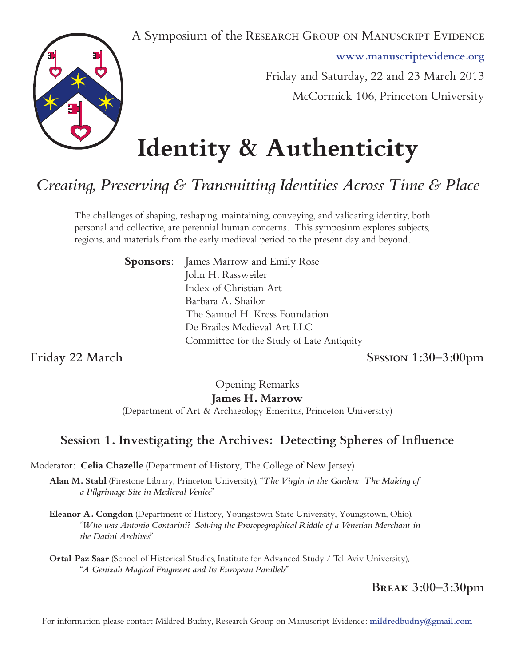A Symposium of the RESEARCH GROUP ON MANUSCRIPT EVIDENCE

**www.manuscriptevidence.org**



Friday and Saturday, 22 and 23 March 2013

McCormick 106, Princeton University

# **Identity & Authenticity**

# *Creating, Preserving & Transmitting Identities Across Time & Place*

The challenges of shaping, reshaping, maintaining, conveying, and validating identity, both personal and collective, are perennial human concerns. This symposium explores subjects, regions, and materials from the early medieval period to the present day and beyond.

> **Sponsors:** James Marrow and Emily Rose John H. Rassweiler Index of Christian Art Barbara A. Shailor The Samuel H. Kress Foundation De Brailes Medieval Art LLC Committee for the Study of Late Antiquity

**Friday 22 March Session 1:30–3:00pm**

Opening Remarks **James H. Marrow**

(Department of Art & Archaeology Emeritus, Princeton University)

# **Session 1. Investigating the Archives: Detecting Spheres of Influence**

Moderator: **Celia Chazelle** (Department of History, The College of New Jersey)

- **Alan M. Stahl** (Firestone Library, Princeton University), "*The Virgin in the Garden: The Making of a Pilgrimage Site in Medieval Venice*"
- **Eleanor A. Congdon** (Department of History, Youngstown State University, Youngstown, Ohio), "*Who was Antonio Contarini? Solving the Prosopographical Riddle of a Venetian Merchant in the Datini Archives*"
- **Ortal-Paz Saar** (School of Historical Studies, Institute for Advanced Study / Tel Aviv University), "*A Genizah Magical Fragment and Its European Parallels*"

# **Break 3:00–3:30pm**

For information please contact Mildred Budny, Research Group on Manuscript Evidence: **mildredbudny@gmail.com**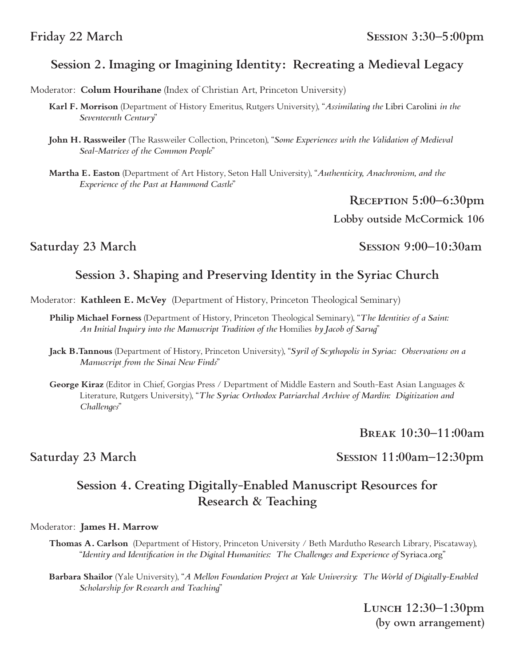### Friday 22 March SESSION 3:30–5:00pm

### **Session 2. Imaging or Imagining Identity: Recreating a Medieval Legacy**

Moderator: **Colum Hourihane** (Index of Christian Art, Princeton University)

- **Karl F. Morrison** (Department of History Emeritus, Rutgers University), "*Assimilating the* Libri Carolini *in the Seventeenth Century*"
- **John H. Rassweiler** (The Rassweiler Collection, Princeton), "*Some Experiences with the Validation of Medieval Seal-Matrices of the Common People*"

**Martha E. Easton** (Department of Art History, Seton Hall University), "*Authenticity, Anachronism, and the Experience of the Past at Hammond Castle*"

**Reception 5:00–6:30pm**

**Lobby outside McCormick 106**

Saturday 23 March Session 9:00–10:30am

## **Session 3. Shaping and Preserving Identity in the Syriac Church**

Moderator: **Kathleen E. McVey** (Department of History, Princeton Theological Seminary)

- **Philip Michael Forness** (Department of History, Princeton Theological Seminary), "*The Identities of a Saint: An Initial Inquiry into the Manuscript Tradition of the* Homilies *by Jacob of Sarug*"
- **Jack B.Tannous** (Department of History, Princeton University), "*Syril of Scythopolis in Syriac: Observations on a Manuscript from the Sinai New Finds*"
- **George Kiraz** (Editor in Chief, Gorgias Press / Department of Middle Eastern and South-East Asian Languages & Literature, Rutgers University), "*The Syriac Orthodox Patriarchal Archive of Mardin: Digitization and Challenges*"

**Break 10:30–11:00am**

Saturday 23 March Session 11:00am–12:30pm

# **Session 4. Creating Digitally-Enabled Manuscript Resources for Research & Teaching**

#### Moderator: **James H. Marrow**

- **Thomas A. Carlson** (Department of History, Princeton University / Beth Mardutho Research Library, Piscataway), "*Identity and Identification in the Digital Humanities: The Challenges and Experience of* Syriaca.org"
- **Barbara Shailor** (Yale University), "*A Mellon Foundation Project at Yale University: The World of Digitally-Enabled Scholarship for Research and Teaching*"

**Lunch 12:30–1:30pm (by own arrangement)**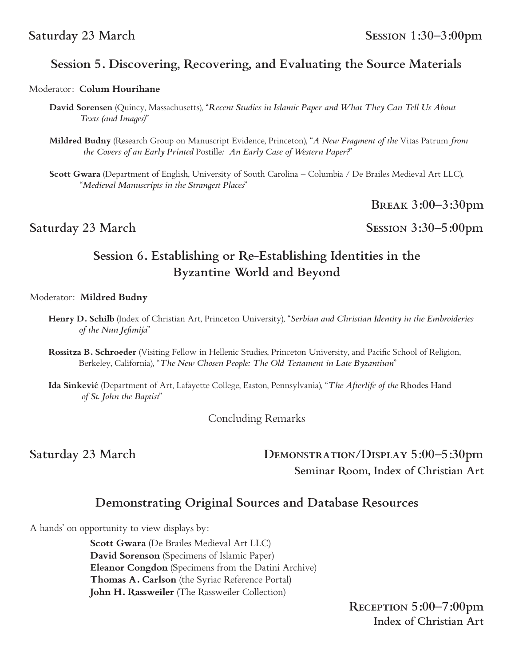# **Session 5. Discovering, Recovering, and Evaluating the Source Materials**

#### Moderator: **Colum Hourihane**

- **David Sorensen** (Quincy, Massachusetts), "*Recent Studies in Islamic Paper and What They Can Tell Us About Texts (and Images)*"
- **Mildred Budny** (Research Group on Manuscript Evidence, Princeton), "*A New Fragment of the* Vitas Patrum *from the Covers of an Early Printed* Postille*: An Early Case of Western Paper?*"

**Scott Gwara** (Department of English, University of South Carolina – Columbia / De Brailes Medieval Art LLC), "*Medieval Manuscripts in the Strangest Places*"

**Break 3:00–3:30pm**

Saturday 23 March Session 3:30–5:00pm

# **Session 6. Establishing or Re-Establishing Identities in the Byzantine World and Beyond**

#### Moderator: **Mildred Budny**

- **Henry D. Schilb** (Index of Christian Art, Princeton University), "*Serbian and Christian Identity in the Embroideries of the Nun Jefimija*"
- **Rossitza B. Schroeder** (Visiting Fellow in Hellenic Studies, Princeton University, and Pacific School of Religion, Berkeley, California), "*The New Chosen People: The Old Testament in Late Byzantium*"
- **Ida Sinkević** (Department of Art, Lafayette College, Easton, Pennsylvania), "*The Afterlife of the* Rhodes Hand  *of St. John the Baptist*"

Concluding Remarks

# Saturday 23 March DEMONSTRATION/DISPLAY 5:00-5:30pm **Seminar Room, Index of Christian Art**

# **Demonstrating Original Sources and Database Resources**

A hands' on opportunity to view displays by:

 **Scott Gwara** (De Brailes Medieval Art LLC) **David Sorenson** (Specimens of Islamic Paper) **Eleanor Congdon** (Specimens from the Datini Archive) **Thomas A. Carlson** (the Syriac Reference Portal) **John H. Rassweiler** (The Rassweiler Collection)

> **Reception 5:00–7:00pm Index of Christian Art**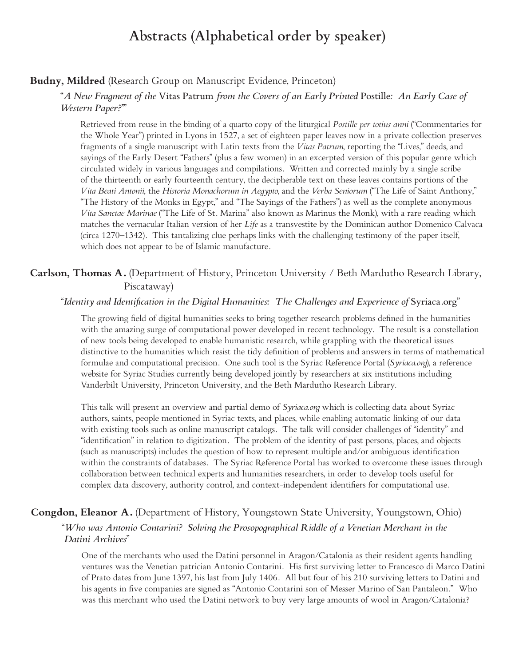# **Abstracts (Alphabetical order by speaker)**

#### **Budny, Mildred** (Research Group on Manuscript Evidence, Princeton)

#### "*A New Fragment of the* Vitas Patrum *from the Covers of an Early Printed* Postille*: An Early Case of Western Paper?"*"

Retrieved from reuse in the binding of a quarto copy of the liturgical *Postille per totius anni* ("Commentaries for the Whole Year") printed in Lyons in 1527, a set of eighteen paper leaves now in a private collection preserves fragments of a single manuscript with Latin texts from the *Vitas Patrum*, reporting the "Lives," deeds, and sayings of the Early Desert "Fathers" (plus a few women) in an excerpted version of this popular genre which circulated widely in various languages and compilations. Written and corrected mainly by a single scribe of the thirteenth or early fourteenth century, the decipherable text on these leaves contains portions of the *Vita Beati Antonii*, the *Historia Monachorum in Aegypto*, and the *Verba Seniorum* ("The Life of Saint Anthony," "The History of the Monks in Egypt," and "The Sayings of the Fathers") as well as the complete anonymous *Vita Sanctae Marinae* ("The Life of St. Marina" also known as Marinus the Monk), with a rare reading which matches the vernacular Italian version of her *Life* as a transvestite by the Dominican author Domenico Calvaca (circa 1270–1342). This tantalizing clue perhaps links with the challenging testimony of the paper itself, which does not appear to be of Islamic manufacture.

### **Carlson, Thomas A.** (Department of History, Princeton University / Beth Mardutho Research Library, Piscataway)

#### "*Identity and Identification in the Digital Humanities: The Challenges and Experience of* Syriaca.org"

The growing field of digital humanities seeks to bring together research problems defined in the humanities with the amazing surge of computational power developed in recent technology. The result is a constellation of new tools being developed to enable humanistic research, while grappling with the theoretical issues distinctive to the humanities which resist the tidy definition of problems and answers in terms of mathematical formulae and computational precision. One such tool is the Syriac Reference Portal (*Syriaca.org*), a reference website for Syriac Studies currently being developed jointly by researchers at six institutions including Vanderbilt University, Princeton University, and the Beth Mardutho Research Library.

This talk will present an overview and partial demo of *Syriaca.org* which is collecting data about Syriac authors, saints, people mentioned in Syriac texts, and places, while enabling automatic linking of our data with existing tools such as online manuscript catalogs. The talk will consider challenges of "identity" and "identification" in relation to digitization. The problem of the identity of past persons, places, and objects (such as manuscripts) includes the question of how to represent multiple and/or ambiguous identification within the constraints of databases. The Syriac Reference Portal has worked to overcome these issues through collaboration between technical experts and humanities researchers, in order to develop tools useful for complex data discovery, authority control, and context-independent identifiers for computational use.

#### **Congdon, Eleanor A.** (Department of History, Youngstown State University, Youngstown, Ohio)

#### "*Who was Antonio Contarini? Solving the Prosopographical Riddle of a Venetian Merchant in the Datini Archives*"

One of the merchants who used the Datini personnel in Aragon/Catalonia as their resident agents handling ventures was the Venetian patrician Antonio Contarini. His first surviving letter to Francesco di Marco Datini of Prato dates from June 1397, his last from July 1406. All but four of his 210 surviving letters to Datini and his agents in five companies are signed as "Antonio Contarini son of Messer Marino of San Pantaleon." Who was this merchant who used the Datini network to buy very large amounts of wool in Aragon/Catalonia?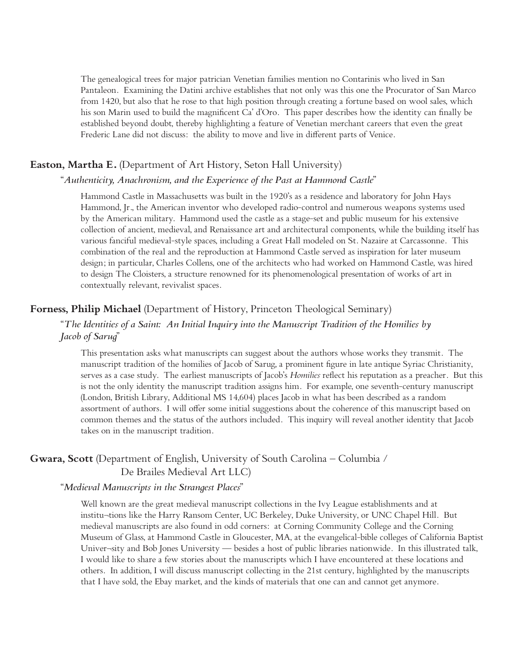The genealogical trees for major patrician Venetian families mention no Contarinis who lived in San Pantaleon. Examining the Datini archive establishes that not only was this one the Procurator of San Marco from 1420, but also that he rose to that high position through creating a fortune based on wool sales, which his son Marin used to build the magnificent Ca' d'Oro. This paper describes how the identity can finally be established beyond doubt, thereby highlighting a feature of Venetian merchant careers that even the great Frederic Lane did not discuss: the ability to move and live in different parts of Venice.

#### **Easton, Martha E.** (Department of Art History, Seton Hall University)

#### "*Authenticity, Anachronism, and the Experience of the Past at Hammond Castle*"

Hammond Castle in Massachusetts was built in the 1920's as a residence and laboratory for John Hays Hammond, Jr., the American inventor who developed radio-control and numerous weapons systems used by the American military. Hammond used the castle as a stage-set and public museum for his extensive collection of ancient, medieval, and Renaissance art and architectural components, while the building itself has various fanciful medieval-style spaces, including a Great Hall modeled on St. Nazaire at Carcassonne. This combination of the real and the reproduction at Hammond Castle served as inspiration for later museum design; in particular, Charles Collens, one of the architects who had worked on Hammond Castle, was hired to design The Cloisters, a structure renowned for its phenomenological presentation of works of art in contextually relevant, revivalist spaces.

#### **Forness, Philip Michael** (Department of History, Princeton Theological Seminary)

#### "*The Identities of a Saint: An Initial Inquiry into the Manuscript Tradition of the Homilies by Jacob of Sarug*"

This presentation asks what manuscripts can suggest about the authors whose works they transmit. The manuscript tradition of the homilies of Jacob of Sarug, a prominent figure in late antique Syriac Christianity, serves as a case study. The earliest manuscripts of Jacob's *Homilies* reflect his reputation as a preacher. But this is not the only identity the manuscript tradition assigns him. For example, one seventh-century manuscript (London, British Library, Additional MS 14,604) places Jacob in what has been described as a random assortment of authors. I will offer some initial suggestions about the coherence of this manuscript based on common themes and the status of the authors included. This inquiry will reveal another identity that Jacob takes on in the manuscript tradition.

### **Gwara, Scott** (Department of English, University of South Carolina – Columbia / De Brailes Medieval Art LLC)

#### "*Medieval Manuscripts in the Strangest Places*"

Well known are the great medieval manuscript collections in the Ivy League establishments and at institu¬tions like the Harry Ransom Center, UC Berkeley, Duke University, or UNC Chapel Hill. But medieval manuscripts are also found in odd corners: at Corning Community College and the Corning Museum of Glass, at Hammond Castle in Gloucester, MA, at the evangelical-bible colleges of California Baptist Univer¬sity and Bob Jones University — besides a host of public libraries nationwide. In this illustrated talk, I would like to share a few stories about the manuscripts which I have encountered at these locations and others. In addition, I will discuss manuscript collecting in the 21st century, highlighted by the manuscripts that I have sold, the Ebay market, and the kinds of materials that one can and cannot get anymore.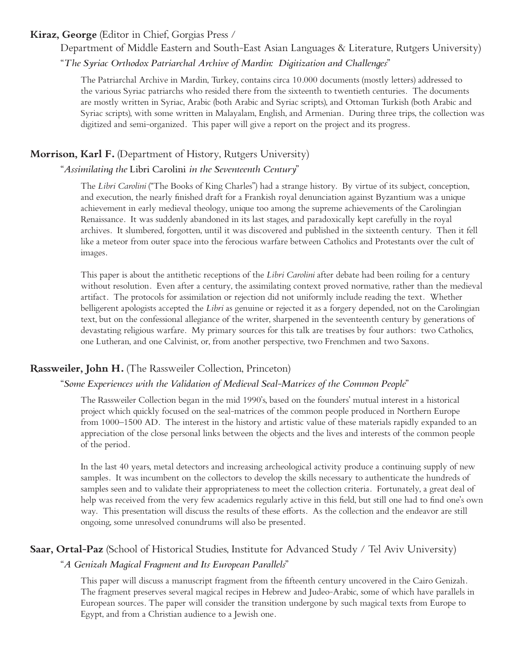#### **Kiraz, George** (Editor in Chief, Gorgias Press /

Department of Middle Eastern and South-East Asian Languages & Literature, Rutgers University)

"*The Syriac Orthodox Patriarchal Archive of Mardin: Digitization and Challenges*"

The Patriarchal Archive in Mardin, Turkey, contains circa 10.000 documents (mostly letters) addressed to the various Syriac patriarchs who resided there from the sixteenth to twentieth centuries. The documents are mostly written in Syriac, Arabic (both Arabic and Syriac scripts), and Ottoman Turkish (both Arabic and Syriac scripts), with some written in Malayalam, English, and Armenian. During three trips, the collection was digitized and semi-organized. This paper will give a report on the project and its progress.

#### **Morrison, Karl F.** (Department of History, Rutgers University)

#### "*Assimilating the* Libri Carolini *in the Seventeenth Century*"

The *Libri Carolini* ("The Books of King Charles") had a strange history. By virtue of its subject, conception, and execution, the nearly finished draft for a Frankish royal denunciation against Byzantium was a unique achievement in early medieval theology, unique too among the supreme achievements of the Carolingian Renaissance. It was suddenly abandoned in its last stages, and paradoxically kept carefully in the royal archives. It slumbered, forgotten, until it was discovered and published in the sixteenth century. Then it fell like a meteor from outer space into the ferocious warfare between Catholics and Protestants over the cult of images.

This paper is about the antithetic receptions of the *Libri Carolini* after debate had been roiling for a century without resolution. Even after a century, the assimilating context proved normative, rather than the medieval artifact. The protocols for assimilation or rejection did not uniformly include reading the text. Whether belligerent apologists accepted the *Libri* as genuine or rejected it as a forgery depended, not on the Carolingian text, but on the confessional allegiance of the writer, sharpened in the seventeenth century by generations of devastating religious warfare. My primary sources for this talk are treatises by four authors: two Catholics, one Lutheran, and one Calvinist, or, from another perspective, two Frenchmen and two Saxons.

#### **Rassweiler, John H.** (The Rassweiler Collection, Princeton)

#### "*Some Experiences with the Validation of Medieval Seal-Matrices of the Common People*"

The Rassweiler Collection began in the mid 1990's, based on the founders' mutual interest in a historical project which quickly focused on the seal-matrices of the common people produced in Northern Europe from 1000–1500 AD. The interest in the history and artistic value of these materials rapidly expanded to an appreciation of the close personal links between the objects and the lives and interests of the common people of the period.

In the last 40 years, metal detectors and increasing archeological activity produce a continuing supply of new samples. It was incumbent on the collectors to develop the skills necessary to authenticate the hundreds of samples seen and to validate their appropriateness to meet the collection criteria. Fortunately, a great deal of help was received from the very few academics regularly active in this field, but still one had to find one's own way. This presentation will discuss the results of these efforts. As the collection and the endeavor are still ongoing, some unresolved conundrums will also be presented.

#### **Saar, Ortal-Paz** (School of Historical Studies, Institute for Advanced Study / Tel Aviv University)

#### "*A Genizah Magical Fragment and Its European Parallels*"

This paper will discuss a manuscript fragment from the fifteenth century uncovered in the Cairo Genizah. The fragment preserves several magical recipes in Hebrew and Judeo-Arabic, some of which have parallels in European sources. The paper will consider the transition undergone by such magical texts from Europe to Egypt, and from a Christian audience to a Jewish one.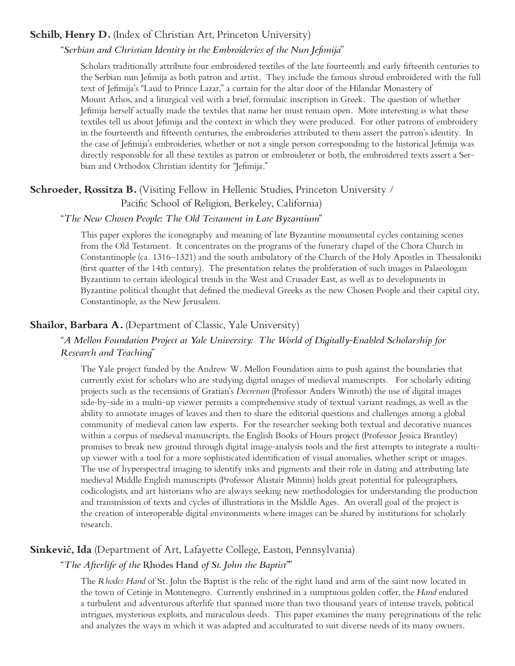#### **Schilb, Henry D.** (Index of Christian Art, Princeton University)

#### "*Serbian and Christian Identity in the Embroideries of the Nun Jefimija*"

Scholars traditionally attribute four embroidered textiles of the late fourteenth and early fifteenth centuries to the Serbian nun Jefimija as both patron and artist. They include the famous shroud embroidered with the full text of Jefimija's "Laud to Prince Lazar," a curtain for the altar door of the Hilandar Monastery of Mount Athos, and a liturgical veil with a brief, formulaic inscription in Greek. The question of whether Jefimija herself actually made the textiles that name her must remain open. More interesting is what these textiles tell us about Jefimija and the context in which they were produced. For other patrons of embroidery in the fourteenth and fifteenth centuries, the embroideries attributed to them assert the patron's identity. In the case of Jefimija's embroideries, whether or not a single person corresponding to the historical Jefimija was directly responsible for all these textiles as patron or embroiderer or both, the embroidered texts assert a Serbian and Orthodox Christian identity for "Jefimija."

### **Schroeder, Rossitza B.** (Visiting Fellow in Hellenic Studies, Princeton University / Pacific School of Religion, Berkeley, California)

#### "*The New Chosen People: The Old Testament in Late Byzantium*"

This paper explores the iconography and meaning of late Byzantine monumental cycles containing scenes from the Old Testament. It concentrates on the programs of the funerary chapel of the Chora Church in Constantinople (ca. 1316–1321) and the south ambulatory of the Church of the Holy Apostles in Thessaloniki (first quarter of the 14th century). The presentation relates the proliferation of such images in Palaeologan Byzantium to certain ideological trends in the West and Crusader East, as well as to developments in Byzantine political thought that defined the medieval Greeks as the new Chosen People and their capital city, Constantinople, as the New Jerusalem.

#### **Shailor, Barbara A.** (Department of Classic, Yale University)

#### "*A Mellon Foundation Project at Yale University: The World of Digitally-Enabled Scholarship for Research and Teaching*"

The Yale project funded by the Andrew W. Mellon Foundation aims to push against the boundaries that currently exist for scholars who are studying digital images of medieval manuscripts. For scholarly editing projects such as the recensions of Gratian's *Decretum* (Professor Anders Winroth) the use of digital images side-by-side in a multi-up viewer permits a comprehensive study of textual variant readings, as well as the ability to annotate images of leaves and then to share the editorial questions and challenges among a global community of medieval canon law experts. For the researcher seeking both textual and decorative nuances within a corpus of medieval manuscripts, the English Books of Hours project (Professor Jessica Brantley) promises to break new ground through digital image-analysis tools and the first attempts to integrate a multiup viewer with a tool for a more sophisticated identification of visual anomalies, whether script or images. The use of hyperspectral imaging to identify inks and pigments and their role in dating and attributing late medieval Middle English manuscripts (Professor Alastair Minnis) holds great potential for paleographers, codicologists, and art historians who are always seeking new methodologies for understanding the production and transmission of texts and cycles of illustrations in the Middle Ages. An overall goal of the project is the creation of interoperable digital environments where images can be shared by institutions for scholarly research.

#### **Sinkević, Ida** (Department of Art, Lafayette College, Easton, Pennsylvania)

#### "*The Afterlife of the* Rhodes Hand *of St. John the Baptist"*"

The *Rhodes Hand* of St. John the Baptist is the relic of the right hand and arm of the saint now located in the town of Cetinje in Montenegro. Currently enshrined in a sumptuous golden coffer, the *Hand* endured a turbulent and adventurous afterlife that spanned more than two thousand years of intense travels, political intrigues, mysterious exploits, and miraculous deeds. This paper examines the many peregrinations of the relic and analyzes the ways in which it was adapted and acculturated to suit diverse needs of its many owners.